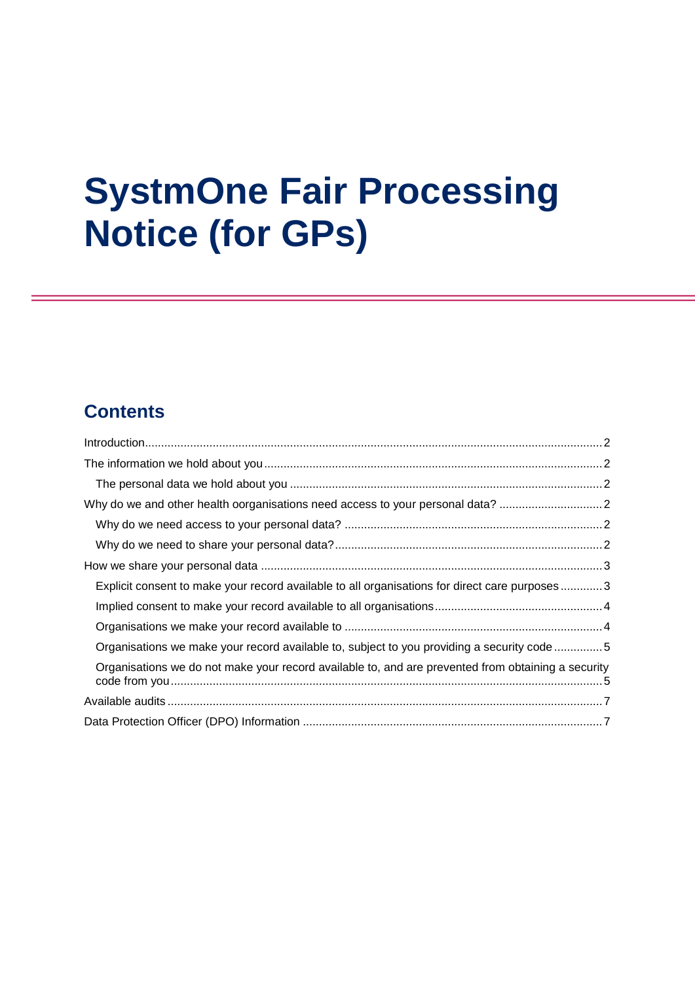# **SystmOne Fair Processing Notice (for GPs)**

## **Contents**

| Why do we and other health oorganisations need access to your personal data?                       |  |
|----------------------------------------------------------------------------------------------------|--|
|                                                                                                    |  |
|                                                                                                    |  |
|                                                                                                    |  |
| Explicit consent to make your record available to all organisations for direct care purposes3      |  |
|                                                                                                    |  |
|                                                                                                    |  |
| Organisations we make your record available to, subject to you providing a security code 5         |  |
| Organisations we do not make your record available to, and are prevented from obtaining a security |  |
|                                                                                                    |  |
|                                                                                                    |  |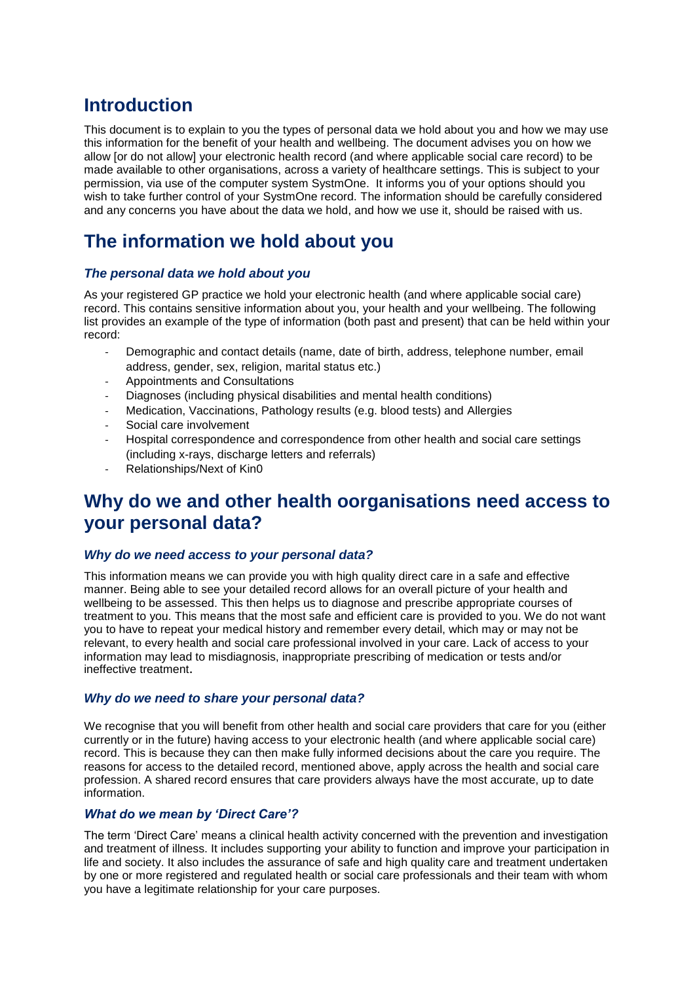## <span id="page-1-0"></span>**Introduction**

This document is to explain to you the types of personal data we hold about you and how we may use this information for the benefit of your health and wellbeing. The document advises you on how we allow [or do not allow] your electronic health record (and where applicable social care record) to be made available to other organisations, across a variety of healthcare settings. This is subject to your permission, via use of the computer system SystmOne. It informs you of your options should you wish to take further control of your SystmOne record. The information should be carefully considered and any concerns you have about the data we hold, and how we use it, should be raised with us.

## <span id="page-1-1"></span>**The information we hold about you**

#### <span id="page-1-2"></span>*The personal data we hold about you*

As your registered GP practice we hold your electronic health (and where applicable social care) record. This contains sensitive information about you, your health and your wellbeing. The following list provides an example of the type of information (both past and present) that can be held within your record:

- Demographic and contact details (name, date of birth, address, telephone number, email address, gender, sex, religion, marital status etc.)
- Appointments and Consultations
- Diagnoses (including physical disabilities and mental health conditions)
- Medication, Vaccinations, Pathology results (e.g. blood tests) and Allergies
- Social care involvement
- Hospital correspondence and correspondence from other health and social care settings (including x-rays, discharge letters and referrals)
- Relationships/Next of Kin0

## <span id="page-1-3"></span>**Why do we and other health oorganisations need access to your personal data?**

#### <span id="page-1-4"></span>*Why do we need access to your personal data?*

This information means we can provide you with high quality direct care in a safe and effective manner. Being able to see your detailed record allows for an overall picture of your health and wellbeing to be assessed. This then helps us to diagnose and prescribe appropriate courses of treatment to you. This means that the most safe and efficient care is provided to you. We do not want you to have to repeat your medical history and remember every detail, which may or may not be relevant, to every health and social care professional involved in your care. Lack of access to your information may lead to misdiagnosis, inappropriate prescribing of medication or tests and/or ineffective treatment.

#### <span id="page-1-5"></span>*Why do we need to share your personal data?*

We recognise that you will benefit from other health and social care providers that care for you (either currently or in the future) having access to your electronic health (and where applicable social care) record. This is because they can then make fully informed decisions about the care you require. The reasons for access to the detailed record, mentioned above, apply across the health and social care profession. A shared record ensures that care providers always have the most accurate, up to date information.

#### *What do we mean by 'Direct Care'?*

The term 'Direct Care' means a clinical health activity concerned with the prevention and investigation and treatment of illness. It includes supporting your ability to function and improve your participation in life and society. It also includes the assurance of safe and high quality care and treatment undertaken by one or more registered and regulated health or social care professionals and their team with whom you have a legitimate relationship for your care purposes.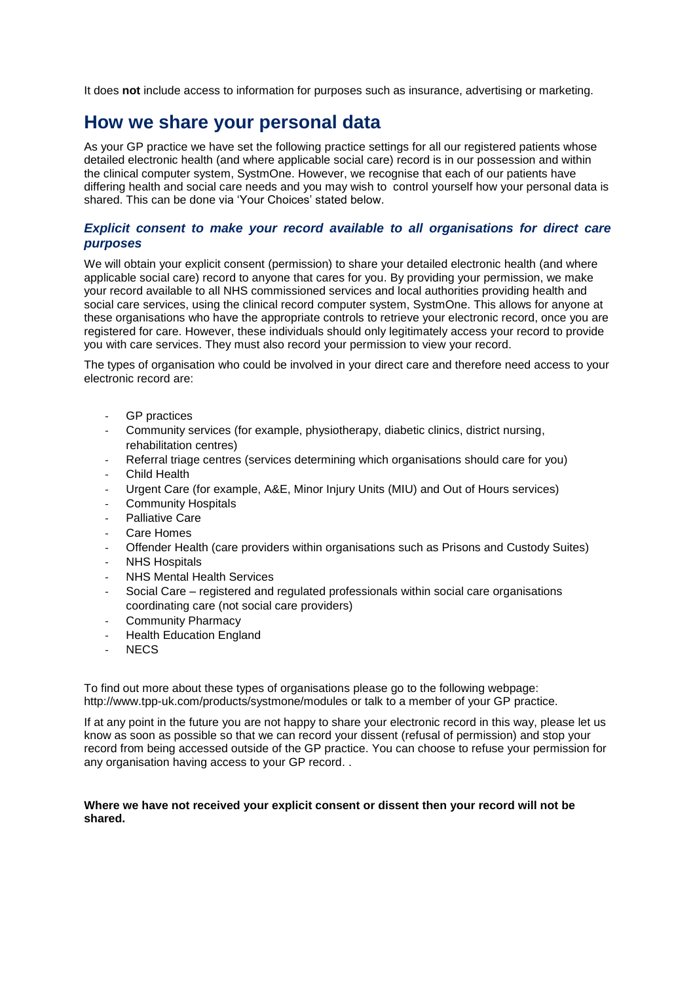It does **not** include access to information for purposes such as insurance, advertising or marketing.

### <span id="page-2-0"></span>**How we share your personal data**

As your GP practice we have set the following practice settings for all our registered patients whose detailed electronic health (and where applicable social care) record is in our possession and within the clinical computer system, SystmOne. However, we recognise that each of our patients have differing health and social care needs and you may wish to control yourself how your personal data is shared. This can be done via 'Your Choices' stated below.

#### <span id="page-2-1"></span>*Explicit consent to make your record available to all organisations for direct care purposes*

We will obtain your explicit consent (permission) to share your detailed electronic health (and where applicable social care) record to anyone that cares for you. By providing your permission, we make your record available to all NHS commissioned services and local authorities providing health and social care services, using the clinical record computer system, SystmOne. This allows for anyone at these organisations who have the appropriate controls to retrieve your electronic record, once you are registered for care. However, these individuals should only legitimately access your record to provide you with care services. They must also record your permission to view your record.

The types of organisation who could be involved in your direct care and therefore need access to your electronic record are:

- GP practices
- Community services (for example, physiotherapy, diabetic clinics, district nursing, rehabilitation centres)
- Referral triage centres (services determining which organisations should care for you)
- **Child Health**
- Urgent Care (for example, A&E, Minor Injury Units (MIU) and Out of Hours services)
- Community Hospitals
- Palliative Care
- Care Homes
- Offender Health (care providers within organisations such as Prisons and Custody Suites)
- **NHS Hospitals**
- NHS Mental Health Services
- Social Care registered and regulated professionals within social care organisations coordinating care (not social care providers)
- Community Pharmacy
- **Health Education England**
- NEC<sub>S</sub>

To find out more about these types of organisations please go to the following webpage: <http://www.tpp-uk.com/products/systmone/modules> or talk to a member of your GP practice.

If at any point in the future you are not happy to share your electronic record in this way, please let us know as soon as possible so that we can record your dissent (refusal of permission) and stop your record from being accessed outside of the GP practice. You can choose to refuse your permission for any organisation having access to your GP record. .

#### **Where we have not received your explicit consent or dissent then your record will not be shared.**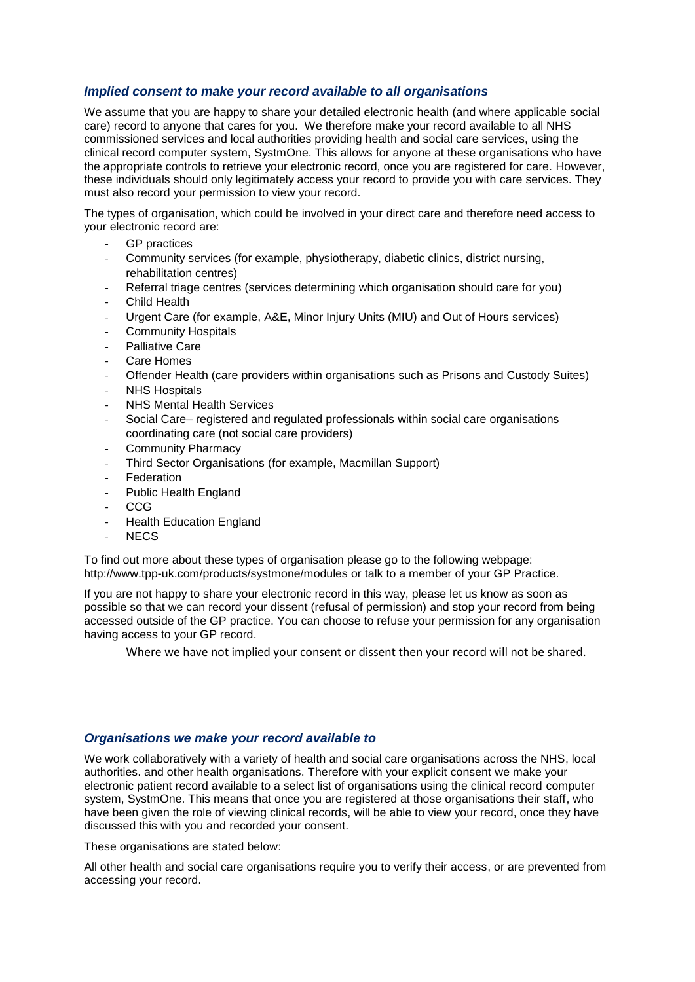#### <span id="page-3-0"></span>*Implied consent to make your record available to all organisations*

We assume that you are happy to share your detailed electronic health (and where applicable social care) record to anyone that cares for you. We therefore make your record available to all NHS commissioned services and local authorities providing health and social care services, using the clinical record computer system, SystmOne. This allows for anyone at these organisations who have the appropriate controls to retrieve your electronic record, once you are registered for care. However, these individuals should only legitimately access your record to provide you with care services. They must also record your permission to view your record.

The types of organisation, which could be involved in your direct care and therefore need access to your electronic record are:

- GP practices
- Community services (for example, physiotherapy, diabetic clinics, district nursing, rehabilitation centres)
- Referral triage centres (services determining which organisation should care for you)
- Child Health
- Urgent Care (for example, A&E, Minor Injury Units (MIU) and Out of Hours services)
- Community Hospitals
- Palliative Care
- Care Homes
- Offender Health (care providers within organisations such as Prisons and Custody Suites)
- NHS Hospitals
- **NHS Mental Health Services**
- Social Care– registered and regulated professionals within social care organisations coordinating care (not social care providers)
- Community Pharmacy
- Third Sector Organisations (for example, Macmillan Support)
- **Federation**
- Public Health England
- CCG
- **Health Education England**
- NEC<sub>S</sub>

To find out more about these types of organisation please go to the following webpage: <http://www.tpp-uk.com/products/systmone/modules> or talk to a member of your GP Practice.

If you are not happy to share your electronic record in this way, please let us know as soon as possible so that we can record your dissent (refusal of permission) and stop your record from being accessed outside of the GP practice. You can choose to refuse your permission for any organisation having access to your GP record.

Where we have not implied your consent or dissent then your record will not be shared.

#### <span id="page-3-1"></span>*Organisations we make your record available to*

We work collaboratively with a variety of health and social care organisations across the NHS, local authorities. and other health organisations. Therefore with your explicit consent we make your electronic patient record available to a select list of organisations using the clinical record computer system, SystmOne. This means that once you are registered at those organisations their staff, who have been given the role of viewing clinical records, will be able to view your record, once they have discussed this with you and recorded your consent.

These organisations are stated below:

All other health and social care organisations require you to verify their access, or are prevented from accessing your record.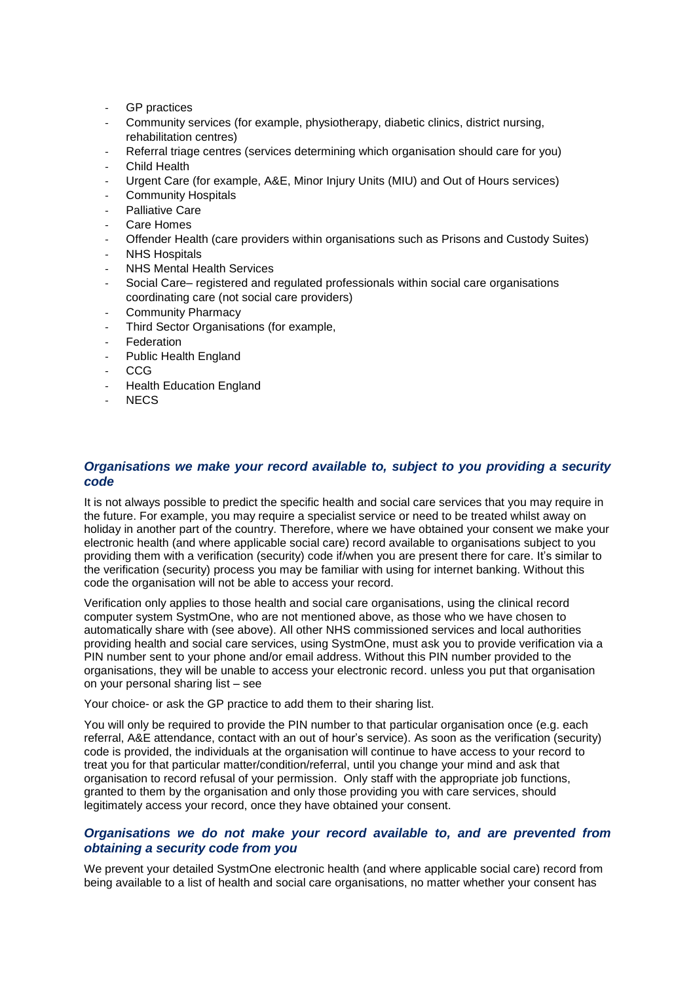- GP practices
- Community services (for example, physiotherapy, diabetic clinics, district nursing, rehabilitation centres)
- Referral triage centres (services determining which organisation should care for you)
- **Child Health**
- Urgent Care (for example, A&E, Minor Injury Units (MIU) and Out of Hours services)
- Community Hospitals
- Palliative Care
- Care Homes
- Offender Health (care providers within organisations such as Prisons and Custody Suites)
- **NHS Hospitals**
- **NHS Mental Health Services**
- Social Care– registered and regulated professionals within social care organisations coordinating care (not social care providers)
- Community Pharmacy
- Third Sector Organisations (for example,
- **Federation**
- Public Health England
- CCG
- Health Education England
- NEC<sub>S</sub>

#### <span id="page-4-0"></span>*Organisations we make your record available to, subject to you providing a security code*

It is not always possible to predict the specific health and social care services that you may require in the future. For example, you may require a specialist service or need to be treated whilst away on holiday in another part of the country. Therefore, where we have obtained your consent we make your electronic health (and where applicable social care) record available to organisations subject to you providing them with a verification (security) code if/when you are present there for care. It's similar to the verification (security) process you may be familiar with using for internet banking. Without this code the organisation will not be able to access your record.

Verification only applies to those health and social care organisations, using the clinical record computer system SystmOne, who are not mentioned above, as those who we have chosen to automatically share with (see above). All other NHS commissioned services and local authorities providing health and social care services, using SystmOne, must ask you to provide verification via a PIN number sent to your phone and/or email address. Without this PIN number provided to the organisations, they will be unable to access your electronic record. unless you put that organisation on your personal sharing list – see

[Your choice-](#page-5-0) or ask the GP practice to add them to their sharing list.

You will only be required to provide the PIN number to that particular organisation once (e.g. each referral, A&E attendance, contact with an out of hour's service). As soon as the verification (security) code is provided, the individuals at the organisation will continue to have access to your record to treat you for that particular matter/condition/referral, until you change your mind and ask that organisation to record refusal of your permission. Only staff with the appropriate job functions, granted to them by the organisation and only those providing you with care services, should legitimately access your record, once they have obtained your consent.

#### <span id="page-4-1"></span>*Organisations we do not make your record available to, and are prevented from obtaining a security code from you*

We prevent your detailed SystmOne electronic health (and where applicable social care) record from being available to a list of health and social care organisations, no matter whether your consent has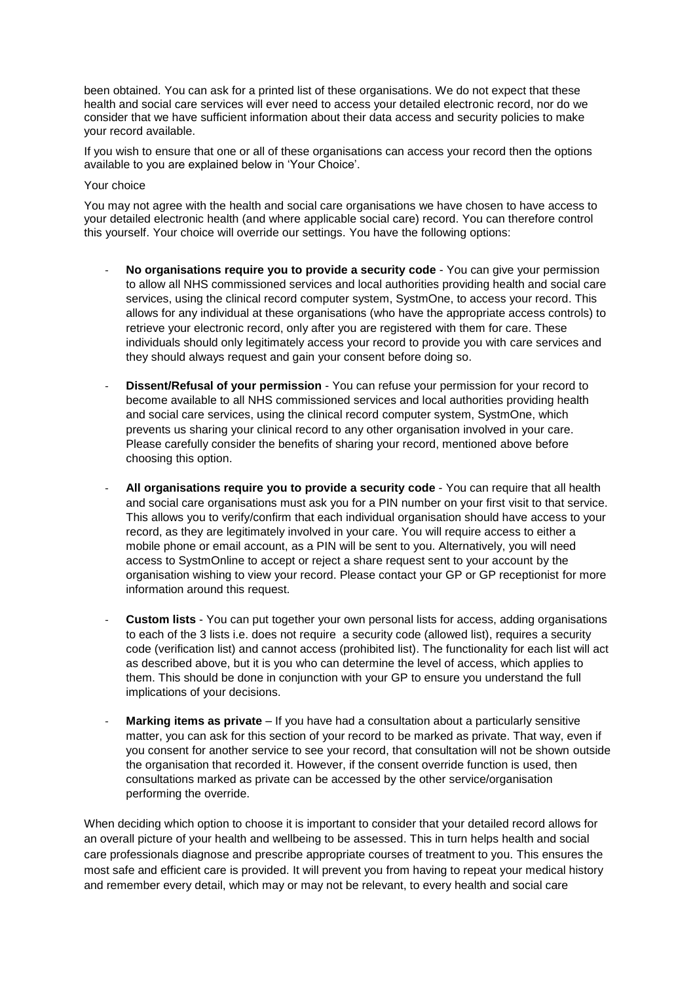been obtained. You can ask for a printed list of these organisations. We do not expect that these health and social care services will ever need to access your detailed electronic record, nor do we consider that we have sufficient information about their data access and security policies to make your record available.

<span id="page-5-0"></span>If you wish to ensure that one or all of these organisations can access your record then the options available to you are explained below in 'Your Choice'.

#### Your choice

You may not agree with the health and social care organisations we have chosen to have access to your detailed electronic health (and where applicable social care) record. You can therefore control this yourself. Your choice will override our settings. You have the following options:

- **No organisations require you to provide a security code** You can give your permission to allow all NHS commissioned services and local authorities providing health and social care services, using the clinical record computer system, SystmOne, to access your record. This allows for any individual at these organisations (who have the appropriate access controls) to retrieve your electronic record, only after you are registered with them for care. These individuals should only legitimately access your record to provide you with care services and they should always request and gain your consent before doing so.
- **Dissent/Refusal of your permission** You can refuse your permission for your record to become available to all NHS commissioned services and local authorities providing health and social care services, using the clinical record computer system, SystmOne, which prevents us sharing your clinical record to any other organisation involved in your care. Please carefully consider the benefits of sharing your record, mentioned above before choosing this option.
- **All organisations require you to provide a security code** You can require that all health and social care organisations must ask you for a PIN number on your first visit to that service. This allows you to verify/confirm that each individual organisation should have access to your record, as they are legitimately involved in your care. You will require access to either a mobile phone or email account, as a PIN will be sent to you. Alternatively, you will need access to SystmOnline to accept or reject a share request sent to your account by the organisation wishing to view your record. Please contact your GP or GP receptionist for more information around this request.
- **Custom lists** You can put together your own personal lists for access, adding organisations to each of the 3 lists i.e. does not require a security code (allowed list), requires a security code (verification list) and cannot access (prohibited list). The functionality for each list will act as described above, but it is you who can determine the level of access, which applies to them. This should be done in conjunction with your GP to ensure you understand the full implications of your decisions.
- Marking items as private If you have had a consultation about a particularly sensitive matter, you can ask for this section of your record to be marked as private. That way, even if you consent for another service to see your record, that consultation will not be shown outside the organisation that recorded it. However, if the consent override function is used, then consultations marked as private can be accessed by the other service/organisation performing the override.

When deciding which option to choose it is important to consider that your detailed record allows for an overall picture of your health and wellbeing to be assessed. This in turn helps health and social care professionals diagnose and prescribe appropriate courses of treatment to you. This ensures the most safe and efficient care is provided. It will prevent you from having to repeat your medical history and remember every detail, which may or may not be relevant, to every health and social care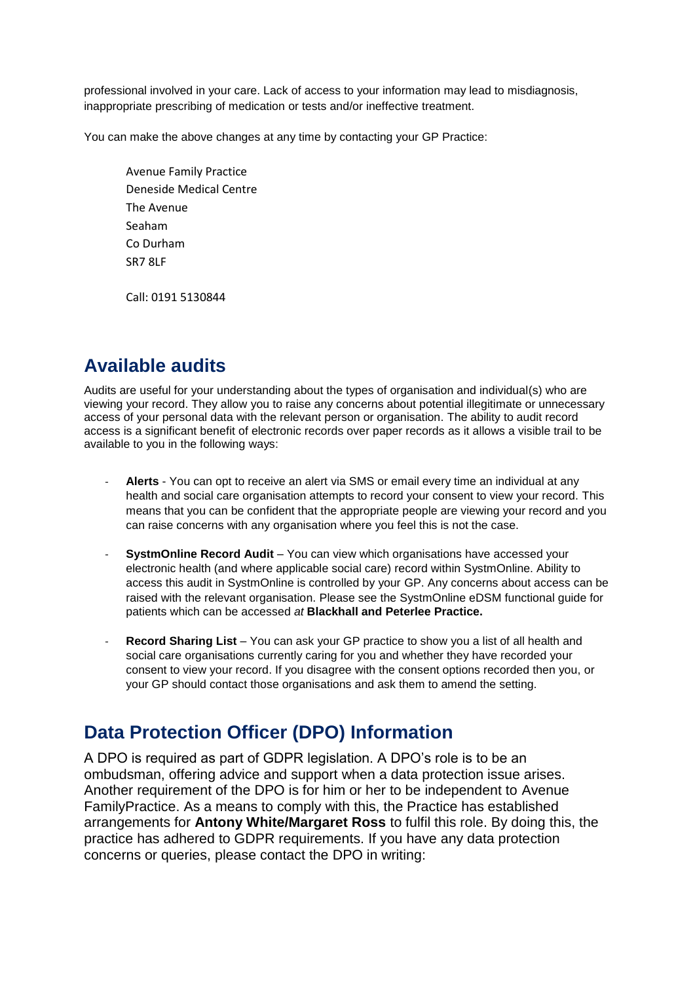professional involved in your care. Lack of access to your information may lead to misdiagnosis, inappropriate prescribing of medication or tests and/or ineffective treatment.

You can make the above changes at any time by contacting your GP Practice:

Avenue Family Practice Deneside Medical Centre The Avenue Seaham Co Durham SR7 8LF

Call: 0191 5130844

## <span id="page-6-0"></span>**Available audits**

Audits are useful for your understanding about the types of organisation and individual(s) who are viewing your record. They allow you to raise any concerns about potential illegitimate or unnecessary access of your personal data with the relevant person or organisation. The ability to audit record access is a significant benefit of electronic records over paper records as it allows a visible trail to be available to you in the following ways:

- **Alerts** You can opt to receive an alert via SMS or email every time an individual at any health and social care organisation attempts to record your consent to view your record. This means that you can be confident that the appropriate people are viewing your record and you can raise concerns with any organisation where you feel this is not the case.
- **SystmOnline Record Audit** You can view which organisations have accessed your electronic health (and where applicable social care) record within SystmOnline. Ability to access this audit in SystmOnline is controlled by your GP. Any concerns about access can be raised with the relevant organisation. Please see the SystmOnline eDSM functional guide for patients which can be accessed *at* **Blackhall and Peterlee Practice.**
- **Record Sharing List** You can ask your GP practice to show you a list of all health and social care organisations currently caring for you and whether they have recorded your consent to view your record. If you disagree with the consent options recorded then you, or your GP should contact those organisations and ask them to amend the setting.

## <span id="page-6-1"></span>**Data Protection Officer (DPO) Information**

A DPO is required as part of GDPR legislation. A DPO's role is to be an ombudsman, offering advice and support when a data protection issue arises. Another requirement of the DPO is for him or her to be independent to Avenue FamilyPractice. As a means to comply with this, the Practice has established arrangements for **Antony White/Margaret Ross** to fulfil this role. By doing this, the practice has adhered to GDPR requirements. If you have any data protection concerns or queries, please contact the DPO in writing: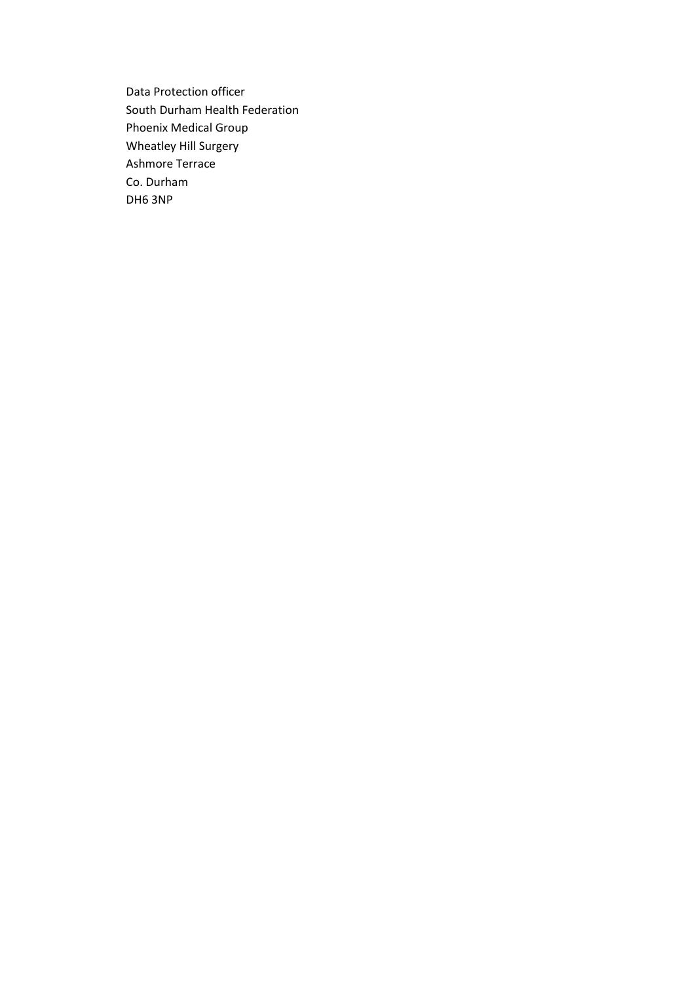Data Protection officer South Durham Health Federation Phoenix Medical Group Wheatley Hill Surgery Ashmore Terrace Co. Durham DH6 3NP